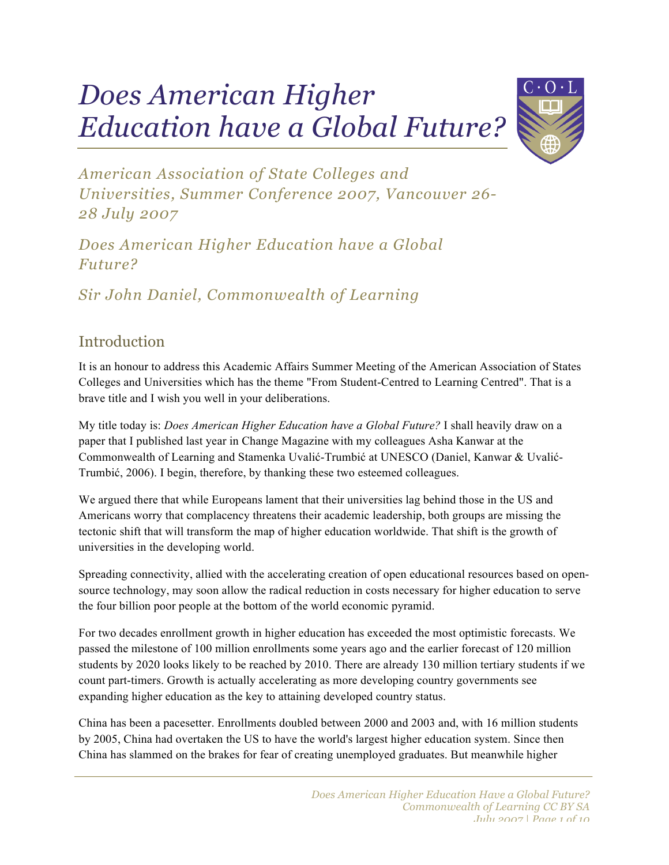# *Does American Higher Education have a Global Future?*



*American Association of State Colleges and Universities, Summer Conference 2007, Vancouver 26- 28 July 2007*

*Does American Higher Education have a Global Future?*

*Sir John Daniel, Commonwealth of Learning*

### Introduction

It is an honour to address this Academic Affairs Summer Meeting of the American Association of States Colleges and Universities which has the theme "From Student-Centred to Learning Centred". That is a brave title and I wish you well in your deliberations.

My title today is: *Does American Higher Education have a Global Future?* I shall heavily draw on a paper that I published last year in Change Magazine with my colleagues Asha Kanwar at the Commonwealth of Learning and Stamenka Uvalić-Trumbić at UNESCO (Daniel, Kanwar & Uvalić-Trumbić, 2006). I begin, therefore, by thanking these two esteemed colleagues.

We argued there that while Europeans lament that their universities lag behind those in the US and Americans worry that complacency threatens their academic leadership, both groups are missing the tectonic shift that will transform the map of higher education worldwide. That shift is the growth of universities in the developing world.

Spreading connectivity, allied with the accelerating creation of open educational resources based on opensource technology, may soon allow the radical reduction in costs necessary for higher education to serve the four billion poor people at the bottom of the world economic pyramid.

For two decades enrollment growth in higher education has exceeded the most optimistic forecasts. We passed the milestone of 100 million enrollments some years ago and the earlier forecast of 120 million students by 2020 looks likely to be reached by 2010. There are already 130 million tertiary students if we count part-timers. Growth is actually accelerating as more developing country governments see expanding higher education as the key to attaining developed country status.

China has been a pacesetter. Enrollments doubled between 2000 and 2003 and, with 16 million students by 2005, China had overtaken the US to have the world's largest higher education system. Since then China has slammed on the brakes for fear of creating unemployed graduates. But meanwhile higher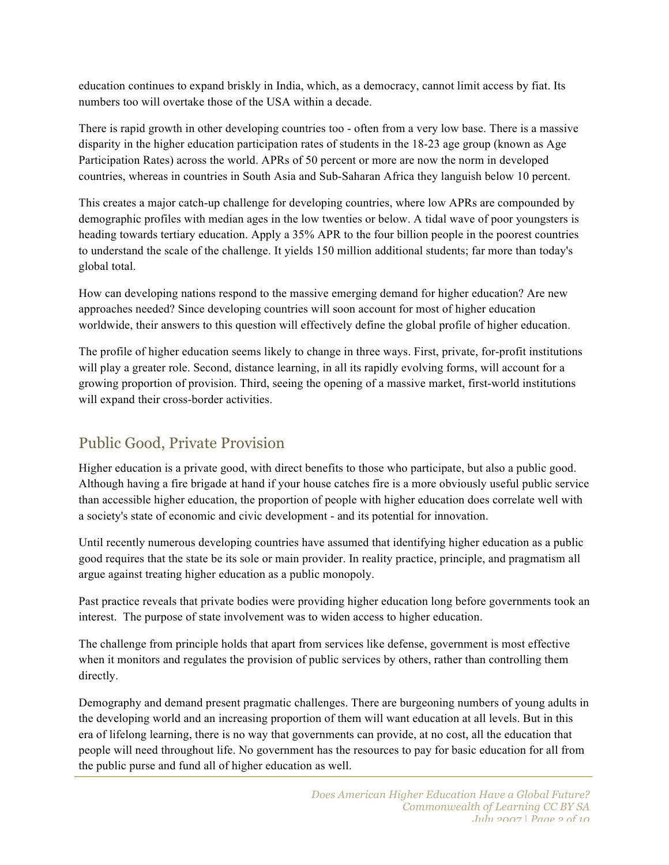education continues to expand briskly in India, which, as a democracy, cannot limit access by fiat. Its numbers too will overtake those of the USA within a decade.

There is rapid growth in other developing countries too - often from a very low base. There is a massive disparity in the higher education participation rates of students in the 18-23 age group (known as Age Participation Rates) across the world. APRs of 50 percent or more are now the norm in developed countries, whereas in countries in South Asia and Sub-Saharan Africa they languish below 10 percent.

This creates a major catch-up challenge for developing countries, where low APRs are compounded by demographic profiles with median ages in the low twenties or below. A tidal wave of poor youngsters is heading towards tertiary education. Apply a 35% APR to the four billion people in the poorest countries to understand the scale of the challenge. It yields 150 million additional students; far more than today's global total.

How can developing nations respond to the massive emerging demand for higher education? Are new approaches needed? Since developing countries will soon account for most of higher education worldwide, their answers to this question will effectively define the global profile of higher education.

The profile of higher education seems likely to change in three ways. First, private, for-profit institutions will play a greater role. Second, distance learning, in all its rapidly evolving forms, will account for a growing proportion of provision. Third, seeing the opening of a massive market, first-world institutions will expand their cross-border activities.

#### Public Good, Private Provision

Higher education is a private good, with direct benefits to those who participate, but also a public good. Although having a fire brigade at hand if your house catches fire is a more obviously useful public service than accessible higher education, the proportion of people with higher education does correlate well with a society's state of economic and civic development - and its potential for innovation.

Until recently numerous developing countries have assumed that identifying higher education as a public good requires that the state be its sole or main provider. In reality practice, principle, and pragmatism all argue against treating higher education as a public monopoly.

Past practice reveals that private bodies were providing higher education long before governments took an interest. The purpose of state involvement was to widen access to higher education.

The challenge from principle holds that apart from services like defense, government is most effective when it monitors and regulates the provision of public services by others, rather than controlling them directly.

Demography and demand present pragmatic challenges. There are burgeoning numbers of young adults in the developing world and an increasing proportion of them will want education at all levels. But in this era of lifelong learning, there is no way that governments can provide, at no cost, all the education that people will need throughout life. No government has the resources to pay for basic education for all from the public purse and fund all of higher education as well.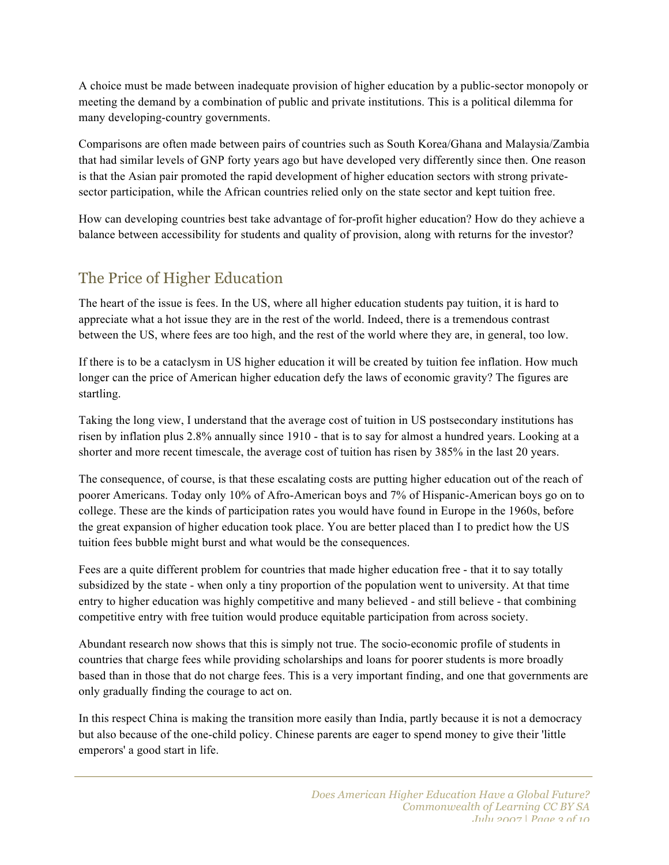A choice must be made between inadequate provision of higher education by a public-sector monopoly or meeting the demand by a combination of public and private institutions. This is a political dilemma for many developing-country governments.

Comparisons are often made between pairs of countries such as South Korea/Ghana and Malaysia/Zambia that had similar levels of GNP forty years ago but have developed very differently since then. One reason is that the Asian pair promoted the rapid development of higher education sectors with strong privatesector participation, while the African countries relied only on the state sector and kept tuition free.

How can developing countries best take advantage of for-profit higher education? How do they achieve a balance between accessibility for students and quality of provision, along with returns for the investor?

## The Price of Higher Education

The heart of the issue is fees. In the US, where all higher education students pay tuition, it is hard to appreciate what a hot issue they are in the rest of the world. Indeed, there is a tremendous contrast between the US, where fees are too high, and the rest of the world where they are, in general, too low.

If there is to be a cataclysm in US higher education it will be created by tuition fee inflation. How much longer can the price of American higher education defy the laws of economic gravity? The figures are startling.

Taking the long view, I understand that the average cost of tuition in US postsecondary institutions has risen by inflation plus 2.8% annually since 1910 - that is to say for almost a hundred years. Looking at a shorter and more recent timescale, the average cost of tuition has risen by 385% in the last 20 years.

The consequence, of course, is that these escalating costs are putting higher education out of the reach of poorer Americans. Today only 10% of Afro-American boys and 7% of Hispanic-American boys go on to college. These are the kinds of participation rates you would have found in Europe in the 1960s, before the great expansion of higher education took place. You are better placed than I to predict how the US tuition fees bubble might burst and what would be the consequences.

Fees are a quite different problem for countries that made higher education free - that it to say totally subsidized by the state - when only a tiny proportion of the population went to university. At that time entry to higher education was highly competitive and many believed - and still believe - that combining competitive entry with free tuition would produce equitable participation from across society.

Abundant research now shows that this is simply not true. The socio-economic profile of students in countries that charge fees while providing scholarships and loans for poorer students is more broadly based than in those that do not charge fees. This is a very important finding, and one that governments are only gradually finding the courage to act on.

In this respect China is making the transition more easily than India, partly because it is not a democracy but also because of the one-child policy. Chinese parents are eager to spend money to give their 'little emperors' a good start in life.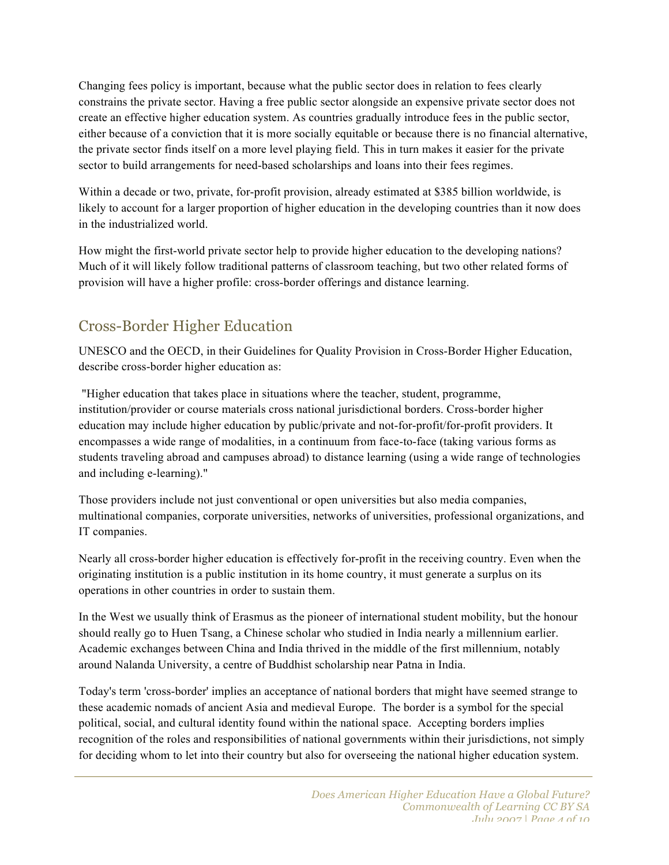Changing fees policy is important, because what the public sector does in relation to fees clearly constrains the private sector. Having a free public sector alongside an expensive private sector does not create an effective higher education system. As countries gradually introduce fees in the public sector, either because of a conviction that it is more socially equitable or because there is no financial alternative, the private sector finds itself on a more level playing field. This in turn makes it easier for the private sector to build arrangements for need-based scholarships and loans into their fees regimes.

Within a decade or two, private, for-profit provision, already estimated at \$385 billion worldwide, is likely to account for a larger proportion of higher education in the developing countries than it now does in the industrialized world.

How might the first-world private sector help to provide higher education to the developing nations? Much of it will likely follow traditional patterns of classroom teaching, but two other related forms of provision will have a higher profile: cross-border offerings and distance learning.

### Cross-Border Higher Education

UNESCO and the OECD, in their Guidelines for Quality Provision in Cross-Border Higher Education, describe cross-border higher education as:

"Higher education that takes place in situations where the teacher, student, programme, institution/provider or course materials cross national jurisdictional borders. Cross-border higher education may include higher education by public/private and not-for-profit/for-profit providers. It encompasses a wide range of modalities, in a continuum from face-to-face (taking various forms as students traveling abroad and campuses abroad) to distance learning (using a wide range of technologies and including e-learning)."

Those providers include not just conventional or open universities but also media companies, multinational companies, corporate universities, networks of universities, professional organizations, and IT companies.

Nearly all cross-border higher education is effectively for-profit in the receiving country. Even when the originating institution is a public institution in its home country, it must generate a surplus on its operations in other countries in order to sustain them.

In the West we usually think of Erasmus as the pioneer of international student mobility, but the honour should really go to Huen Tsang, a Chinese scholar who studied in India nearly a millennium earlier. Academic exchanges between China and India thrived in the middle of the first millennium, notably around Nalanda University, a centre of Buddhist scholarship near Patna in India.

Today's term 'cross-border' implies an acceptance of national borders that might have seemed strange to these academic nomads of ancient Asia and medieval Europe. The border is a symbol for the special political, social, and cultural identity found within the national space. Accepting borders implies recognition of the roles and responsibilities of national governments within their jurisdictions, not simply for deciding whom to let into their country but also for overseeing the national higher education system.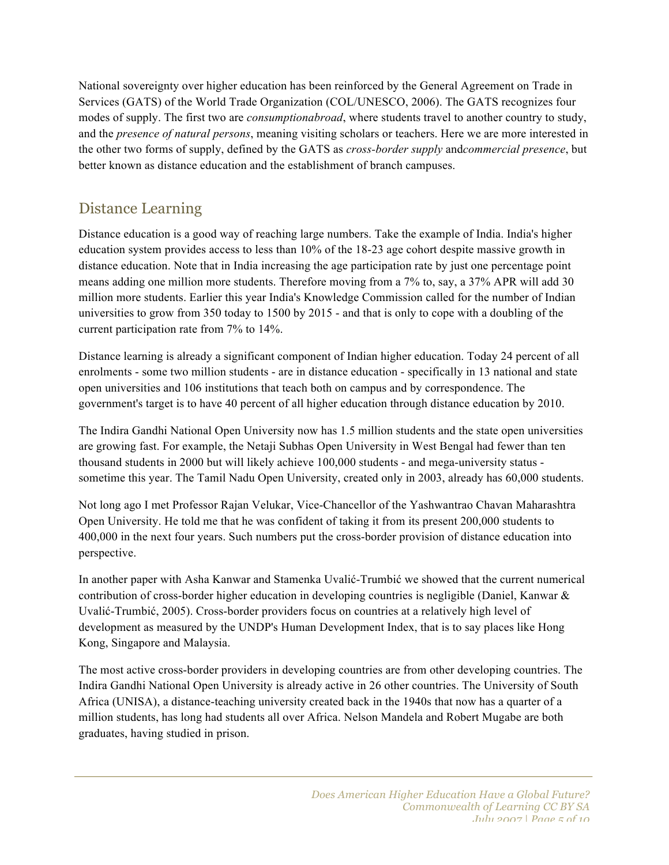National sovereignty over higher education has been reinforced by the General Agreement on Trade in Services (GATS) of the World Trade Organization (COL/UNESCO, 2006). The GATS recognizes four modes of supply. The first two are *consumptionabroad*, where students travel to another country to study, and the *presence of natural persons*, meaning visiting scholars or teachers. Here we are more interested in the other two forms of supply, defined by the GATS as *cross-border supply* and*commercial presence*, but better known as distance education and the establishment of branch campuses.

### Distance Learning

Distance education is a good way of reaching large numbers. Take the example of India. India's higher education system provides access to less than 10% of the 18-23 age cohort despite massive growth in distance education. Note that in India increasing the age participation rate by just one percentage point means adding one million more students. Therefore moving from a 7% to, say, a 37% APR will add 30 million more students. Earlier this year India's Knowledge Commission called for the number of Indian universities to grow from 350 today to 1500 by 2015 - and that is only to cope with a doubling of the current participation rate from 7% to 14%.

Distance learning is already a significant component of Indian higher education. Today 24 percent of all enrolments - some two million students - are in distance education - specifically in 13 national and state open universities and 106 institutions that teach both on campus and by correspondence. The government's target is to have 40 percent of all higher education through distance education by 2010.

The Indira Gandhi National Open University now has 1.5 million students and the state open universities are growing fast. For example, the Netaji Subhas Open University in West Bengal had fewer than ten thousand students in 2000 but will likely achieve 100,000 students - and mega-university status sometime this year. The Tamil Nadu Open University, created only in 2003, already has 60,000 students.

Not long ago I met Professor Rajan Velukar, Vice-Chancellor of the Yashwantrao Chavan Maharashtra Open University. He told me that he was confident of taking it from its present 200,000 students to 400,000 in the next four years. Such numbers put the cross-border provision of distance education into perspective.

In another paper with Asha Kanwar and Stamenka Uvalić-Trumbić we showed that the current numerical contribution of cross-border higher education in developing countries is negligible (Daniel, Kanwar & Uvalić-Trumbić, 2005). Cross-border providers focus on countries at a relatively high level of development as measured by the UNDP's Human Development Index, that is to say places like Hong Kong, Singapore and Malaysia.

The most active cross-border providers in developing countries are from other developing countries. The Indira Gandhi National Open University is already active in 26 other countries. The University of South Africa (UNISA), a distance-teaching university created back in the 1940s that now has a quarter of a million students, has long had students all over Africa. Nelson Mandela and Robert Mugabe are both graduates, having studied in prison.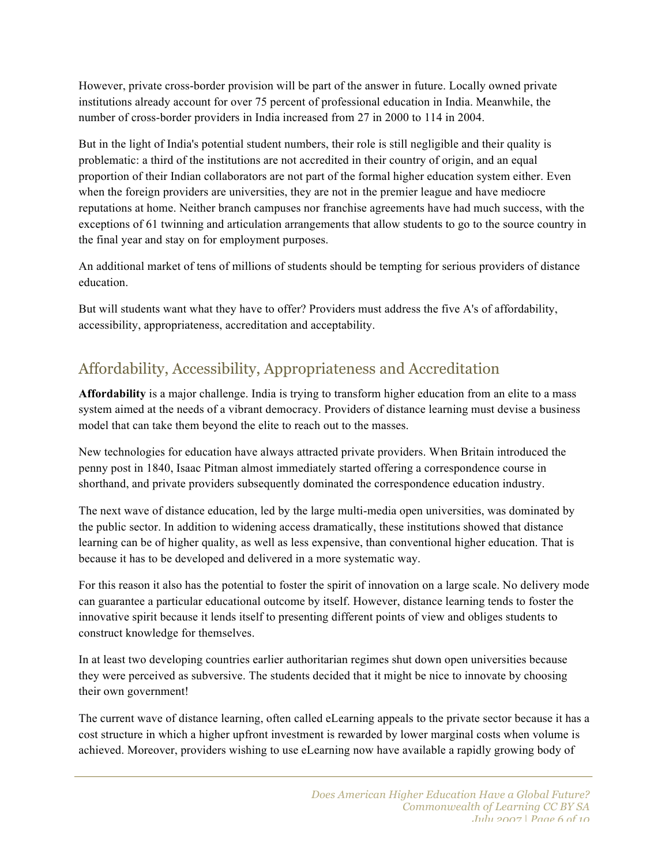However, private cross-border provision will be part of the answer in future. Locally owned private institutions already account for over 75 percent of professional education in India. Meanwhile, the number of cross-border providers in India increased from 27 in 2000 to 114 in 2004.

But in the light of India's potential student numbers, their role is still negligible and their quality is problematic: a third of the institutions are not accredited in their country of origin, and an equal proportion of their Indian collaborators are not part of the formal higher education system either. Even when the foreign providers are universities, they are not in the premier league and have mediocre reputations at home. Neither branch campuses nor franchise agreements have had much success, with the exceptions of 61 twinning and articulation arrangements that allow students to go to the source country in the final year and stay on for employment purposes.

An additional market of tens of millions of students should be tempting for serious providers of distance education.

But will students want what they have to offer? Providers must address the five A's of affordability, accessibility, appropriateness, accreditation and acceptability.

## Affordability, Accessibility, Appropriateness and Accreditation

**Affordability** is a major challenge. India is trying to transform higher education from an elite to a mass system aimed at the needs of a vibrant democracy. Providers of distance learning must devise a business model that can take them beyond the elite to reach out to the masses.

New technologies for education have always attracted private providers. When Britain introduced the penny post in 1840, Isaac Pitman almost immediately started offering a correspondence course in shorthand, and private providers subsequently dominated the correspondence education industry.

The next wave of distance education, led by the large multi-media open universities, was dominated by the public sector. In addition to widening access dramatically, these institutions showed that distance learning can be of higher quality, as well as less expensive, than conventional higher education. That is because it has to be developed and delivered in a more systematic way.

For this reason it also has the potential to foster the spirit of innovation on a large scale. No delivery mode can guarantee a particular educational outcome by itself. However, distance learning tends to foster the innovative spirit because it lends itself to presenting different points of view and obliges students to construct knowledge for themselves.

In at least two developing countries earlier authoritarian regimes shut down open universities because they were perceived as subversive. The students decided that it might be nice to innovate by choosing their own government!

The current wave of distance learning, often called eLearning appeals to the private sector because it has a cost structure in which a higher upfront investment is rewarded by lower marginal costs when volume is achieved. Moreover, providers wishing to use eLearning now have available a rapidly growing body of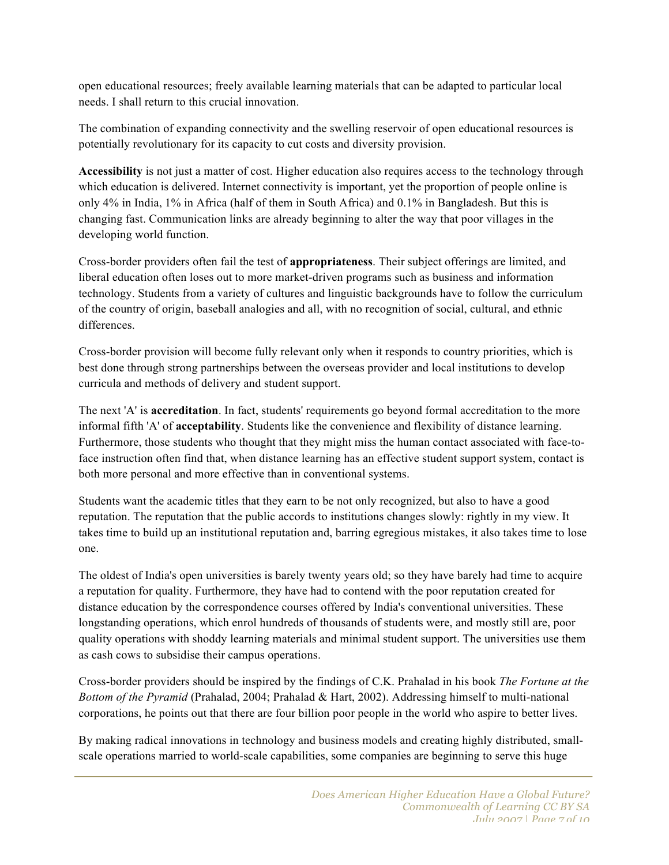open educational resources; freely available learning materials that can be adapted to particular local needs. I shall return to this crucial innovation.

The combination of expanding connectivity and the swelling reservoir of open educational resources is potentially revolutionary for its capacity to cut costs and diversity provision.

**Accessibility** is not just a matter of cost. Higher education also requires access to the technology through which education is delivered. Internet connectivity is important, yet the proportion of people online is only 4% in India, 1% in Africa (half of them in South Africa) and 0.1% in Bangladesh. But this is changing fast. Communication links are already beginning to alter the way that poor villages in the developing world function.

Cross-border providers often fail the test of **appropriateness**. Their subject offerings are limited, and liberal education often loses out to more market-driven programs such as business and information technology. Students from a variety of cultures and linguistic backgrounds have to follow the curriculum of the country of origin, baseball analogies and all, with no recognition of social, cultural, and ethnic differences.

Cross-border provision will become fully relevant only when it responds to country priorities, which is best done through strong partnerships between the overseas provider and local institutions to develop curricula and methods of delivery and student support.

The next 'A' is **accreditation**. In fact, students' requirements go beyond formal accreditation to the more informal fifth 'A' of **acceptability**. Students like the convenience and flexibility of distance learning. Furthermore, those students who thought that they might miss the human contact associated with face-toface instruction often find that, when distance learning has an effective student support system, contact is both more personal and more effective than in conventional systems.

Students want the academic titles that they earn to be not only recognized, but also to have a good reputation. The reputation that the public accords to institutions changes slowly: rightly in my view. It takes time to build up an institutional reputation and, barring egregious mistakes, it also takes time to lose one.

The oldest of India's open universities is barely twenty years old; so they have barely had time to acquire a reputation for quality. Furthermore, they have had to contend with the poor reputation created for distance education by the correspondence courses offered by India's conventional universities. These longstanding operations, which enrol hundreds of thousands of students were, and mostly still are, poor quality operations with shoddy learning materials and minimal student support. The universities use them as cash cows to subsidise their campus operations.

Cross-border providers should be inspired by the findings of C.K. Prahalad in his book *The Fortune at the Bottom of the Pyramid* (Prahalad, 2004; Prahalad & Hart, 2002). Addressing himself to multi-national corporations, he points out that there are four billion poor people in the world who aspire to better lives.

By making radical innovations in technology and business models and creating highly distributed, smallscale operations married to world-scale capabilities, some companies are beginning to serve this huge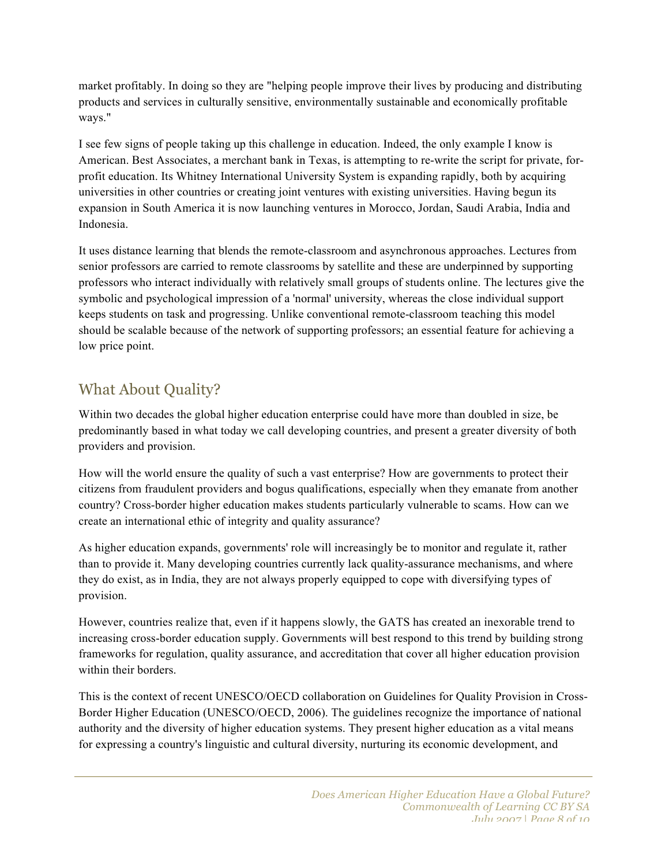market profitably. In doing so they are "helping people improve their lives by producing and distributing products and services in culturally sensitive, environmentally sustainable and economically profitable ways."

I see few signs of people taking up this challenge in education. Indeed, the only example I know is American. Best Associates, a merchant bank in Texas, is attempting to re-write the script for private, forprofit education. Its Whitney International University System is expanding rapidly, both by acquiring universities in other countries or creating joint ventures with existing universities. Having begun its expansion in South America it is now launching ventures in Morocco, Jordan, Saudi Arabia, India and Indonesia.

It uses distance learning that blends the remote-classroom and asynchronous approaches. Lectures from senior professors are carried to remote classrooms by satellite and these are underpinned by supporting professors who interact individually with relatively small groups of students online. The lectures give the symbolic and psychological impression of a 'normal' university, whereas the close individual support keeps students on task and progressing. Unlike conventional remote-classroom teaching this model should be scalable because of the network of supporting professors; an essential feature for achieving a low price point.

### What About Quality?

Within two decades the global higher education enterprise could have more than doubled in size, be predominantly based in what today we call developing countries, and present a greater diversity of both providers and provision.

How will the world ensure the quality of such a vast enterprise? How are governments to protect their citizens from fraudulent providers and bogus qualifications, especially when they emanate from another country? Cross-border higher education makes students particularly vulnerable to scams. How can we create an international ethic of integrity and quality assurance?

As higher education expands, governments' role will increasingly be to monitor and regulate it, rather than to provide it. Many developing countries currently lack quality-assurance mechanisms, and where they do exist, as in India, they are not always properly equipped to cope with diversifying types of provision.

However, countries realize that, even if it happens slowly, the GATS has created an inexorable trend to increasing cross-border education supply. Governments will best respond to this trend by building strong frameworks for regulation, quality assurance, and accreditation that cover all higher education provision within their borders.

This is the context of recent UNESCO/OECD collaboration on Guidelines for Quality Provision in Cross-Border Higher Education (UNESCO/OECD, 2006). The guidelines recognize the importance of national authority and the diversity of higher education systems. They present higher education as a vital means for expressing a country's linguistic and cultural diversity, nurturing its economic development, and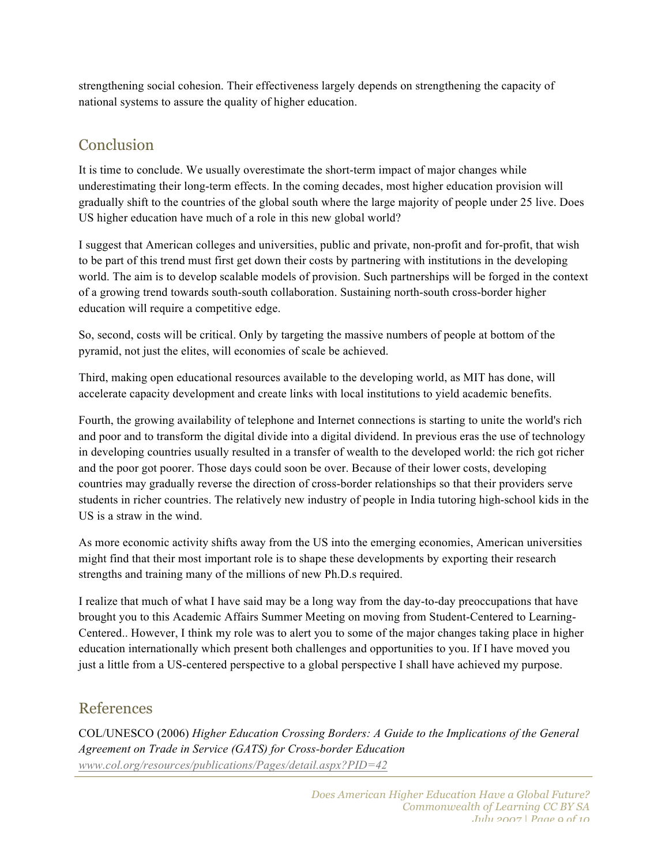strengthening social cohesion. Their effectiveness largely depends on strengthening the capacity of national systems to assure the quality of higher education.

#### Conclusion

It is time to conclude. We usually overestimate the short-term impact of major changes while underestimating their long-term effects. In the coming decades, most higher education provision will gradually shift to the countries of the global south where the large majority of people under 25 live. Does US higher education have much of a role in this new global world?

I suggest that American colleges and universities, public and private, non-profit and for-profit, that wish to be part of this trend must first get down their costs by partnering with institutions in the developing world. The aim is to develop scalable models of provision. Such partnerships will be forged in the context of a growing trend towards south-south collaboration. Sustaining north-south cross-border higher education will require a competitive edge.

So, second, costs will be critical. Only by targeting the massive numbers of people at bottom of the pyramid, not just the elites, will economies of scale be achieved.

Third, making open educational resources available to the developing world, as MIT has done, will accelerate capacity development and create links with local institutions to yield academic benefits.

Fourth, the growing availability of telephone and Internet connections is starting to unite the world's rich and poor and to transform the digital divide into a digital dividend. In previous eras the use of technology in developing countries usually resulted in a transfer of wealth to the developed world: the rich got richer and the poor got poorer. Those days could soon be over. Because of their lower costs, developing countries may gradually reverse the direction of cross-border relationships so that their providers serve students in richer countries. The relatively new industry of people in India tutoring high-school kids in the US is a straw in the wind.

As more economic activity shifts away from the US into the emerging economies, American universities might find that their most important role is to shape these developments by exporting their research strengths and training many of the millions of new Ph.D.s required.

I realize that much of what I have said may be a long way from the day-to-day preoccupations that have brought you to this Academic Affairs Summer Meeting on moving from Student-Centered to Learning-Centered.. However, I think my role was to alert you to some of the major changes taking place in higher education internationally which present both challenges and opportunities to you. If I have moved you just a little from a US-centered perspective to a global perspective I shall have achieved my purpose.

#### References

COL/UNESCO (2006) *Higher Education Crossing Borders: A Guide to the Implications of the General Agreement on Trade in Service (GATS) for Cross-border Education www.col.org/resources/publications/Pages/detail.aspx?PID=42*